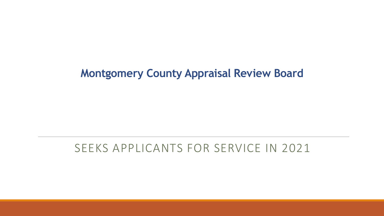## **Montgomery County Appraisal Review Board**

# SEEKS APPLICANTS FOR SERVICE IN 2021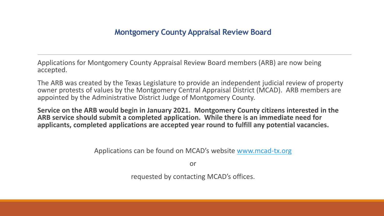Applications for Montgomery County Appraisal Review Board members (ARB) are now being accepted.

The ARB was created by the Texas Legislature to provide an independent judicial review of property owner protests of values by the Montgomery Central Appraisal District (MCAD). ARB members are appointed by the Administrative District Judge of Montgomery County.

**Service on the ARB would begin in January 2021. Montgomery County citizens interested in the ARB service should submit a completed application. While there is an immediate need for applicants, completed applications are accepted year round to fulfill any potential vacancies.**

Applications can be found on MCAD's website [www.mcad-tx.org](http://www.mcad-tx.org/)

or

requested by contacting MCAD's offices.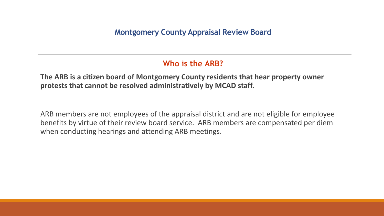### **Who is the ARB?**

**The ARB is a citizen board of Montgomery County residents that hear property owner protests that cannot be resolved administratively by MCAD staff.**

ARB members are not employees of the appraisal district and are not eligible for employee benefits by virtue of their review board service. ARB members are compensated per diem when conducting hearings and attending ARB meetings.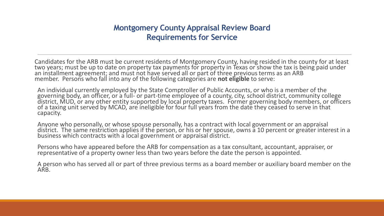#### **Montgomery County Appraisal Review Board Requirements for Service**

Candidates for the ARB must be current residents of Montgomery County, having resided in the county for at least two years; must be up to date on property tax payments for property in Texas or show the tax is being paid under an installment agreement; and must not have served all or part of three previous terms as an ARB member. Persons who fall into any of the following categories are **not eligible** to serve:

An individual currently employed by the State Comptroller of Public Accounts, or who is a member of the governing body, an officer, or a full- or part-time employee of a county, city, school district, community college district, MUD, or any other entity supported by local property taxes. Former governing body members, or officers of a taxing unit served by MCAD, are ineligible for four full years from the date they ceased to serve in that capacity.

Anyone who personally, or whose spouse personally, has a contract with local government or an appraisal district. The same restriction applies if the person, or his or her spouse, owns a 10 percent or greater interest in a business which contracts with a local government or appraisal district.

Persons who have appeared before the ARB for compensation as a tax consultant, accountant, appraiser, or representative of a property owner less than two years before the date the person is appointed.

A person who has served all or part of three previous terms as a board member or auxiliary board member on the ARB.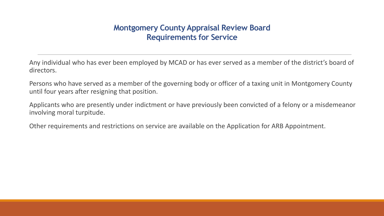#### **Montgomery County Appraisal Review Board Requirements for Service**

Any individual who has ever been employed by MCAD or has ever served as a member of the district's board of directors.

Persons who have served as a member of the governing body or officer of a taxing unit in Montgomery County until four years after resigning that position.

Applicants who are presently under indictment or have previously been convicted of a felony or a misdemeanor involving moral turpitude.

Other requirements and restrictions on service are available on the Application for ARB Appointment.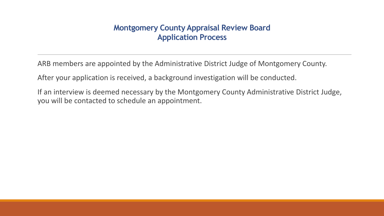#### **Montgomery County Appraisal Review Board Application Process**

ARB members are appointed by the Administrative District Judge of Montgomery County.

After your application is received, a background investigation will be conducted.

If an interview is deemed necessary by the Montgomery County Administrative District Judge, you will be contacted to schedule an appointment.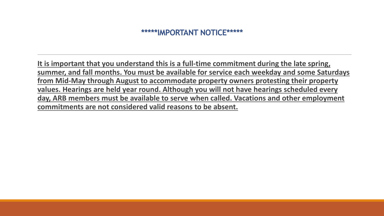#### **\*\*\*\*\*IMPORTANT NOTICE\*\*\*\*\***

**It is important that you understand this is a full-time commitment during the late spring, summer, and fall months. You must be available for service each weekday and some Saturdays from Mid-May through August to accommodate property owners protesting their property values. Hearings are held year round. Although you will not have hearings scheduled every day, ARB members must be available to serve when called. Vacations and other employment commitments are not considered valid reasons to be absent.**